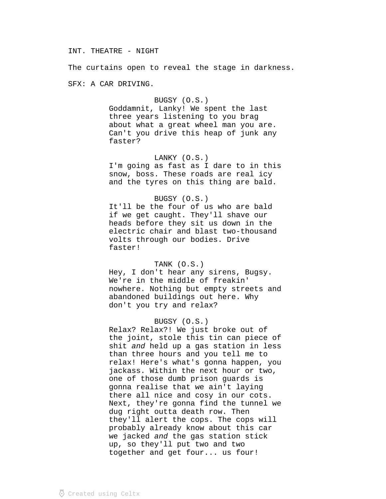### INT. THEATRE - NIGHT

The curtains open to reveal the stage in darkness.

SFX: A CAR DRIVING.

# BUGSY (O.S.)

Goddamnit, Lanky! We spent the last three years listening to you brag about what a great wheel man you are. Can't you drive this heap of junk any faster?

### LANKY (O.S.)

I'm going as fast as I dare to in this snow, boss. These roads are real icy and the tyres on this thing are bald.

## BUGSY (O.S.)

It'll be the four of us who are bald if we get caught. They'll shave our heads before they sit us down in the electric chair and blast two-thousand volts through our bodies. Drive faster!

### TANK (O.S.)

Hey, I don't hear any sirens, Bugsy. We're in the middle of freakin' nowhere. Nothing but empty streets and abandoned buildings out here. Why don't you try and relax?

# BUGSY (O.S.)

Relax? Relax?! We just broke out of the joint, stole this tin can piece of shit and held up a gas station in less than three hours and you tell me to relax! Here's what's gonna happen, you jackass. Within the next hour or two, one of those dumb prison guards is gonna realise that we ain't laying there all nice and cosy in our cots. Next, they're gonna find the tunnel we dug right outta death row. Then they'll alert the cops. The cops will probably already know about this car we jacked and the gas station stick up, so they'll put two and two together and get four... us four!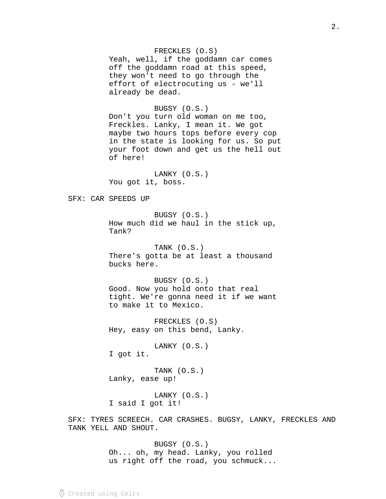## FRECKLES (O.S)

Yeah, well, if the goddamn car comes off the goddamn road at this speed, they won't need to go through the effort of electrocuting us - we'll already be dead.

# BUGSY (O.S.)

Don't you turn old woman on me too, Freckles. Lanky, I mean it. We got maybe two hours tops before every cop in the state is looking for us. So put your foot down and get us the hell out of here!

LANKY (O.S.) You got it, boss.

## SFX: CAR SPEEDS UP

BUGSY (O.S.) How much did we haul in the stick up, Tank?

TANK (O.S.) There's gotta be at least a thousand bucks here.

BUGSY (O.S.) Good. Now you hold onto that real tight. We're gonna need it if we want to make it to Mexico.

FRECKLES (O.S) Hey, easy on this bend, Lanky.

LANKY (O.S.) I got it.

TANK (O.S.) Lanky, ease up!

LANKY (O.S.) I said I got it!

SFX: TYRES SCREECH. CAR CRASHES. BUGSY, LANKY, FRECKLES AND TANK YELL AND SHOUT.

> BUGSY (O.S.) Oh... oh, my head. Lanky, you rolled us right off the road, you schmuck...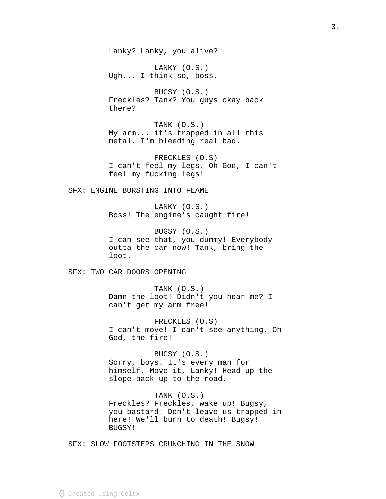Lanky? Lanky, you alive?

LANKY (O.S.) Ugh... I think so, boss.

BUGSY (O.S.) Freckles? Tank? You guys okay back there?

TANK (O.S.) My arm... it's trapped in all this metal. I'm bleeding real bad.

FRECKLES (O.S) I can't feel my legs. Oh God, I can't feel my fucking legs!

SFX: ENGINE BURSTING INTO FLAME

LANKY (O.S.) Boss! The engine's caught fire!

BUGSY (O.S.) I can see that, you dummy! Everybody outta the car now! Tank, bring the loot.

SFX: TWO CAR DOORS OPENING

TANK (O.S.) Damn the loot! Didn't you hear me? I can't get my arm free!

FRECKLES (O.S) I can't move! I can't see anything. Oh God, the fire!

BUGSY (O.S.) Sorry, boys. It's every man for himself. Move it, Lanky! Head up the slope back up to the road.

TANK (O.S.) Freckles? Freckles, wake up! Bugsy, you bastard! Don't leave us trapped in here! We'll burn to death! Bugsy! BUGSY!

SFX: SLOW FOOTSTEPS CRUNCHING IN THE SNOW